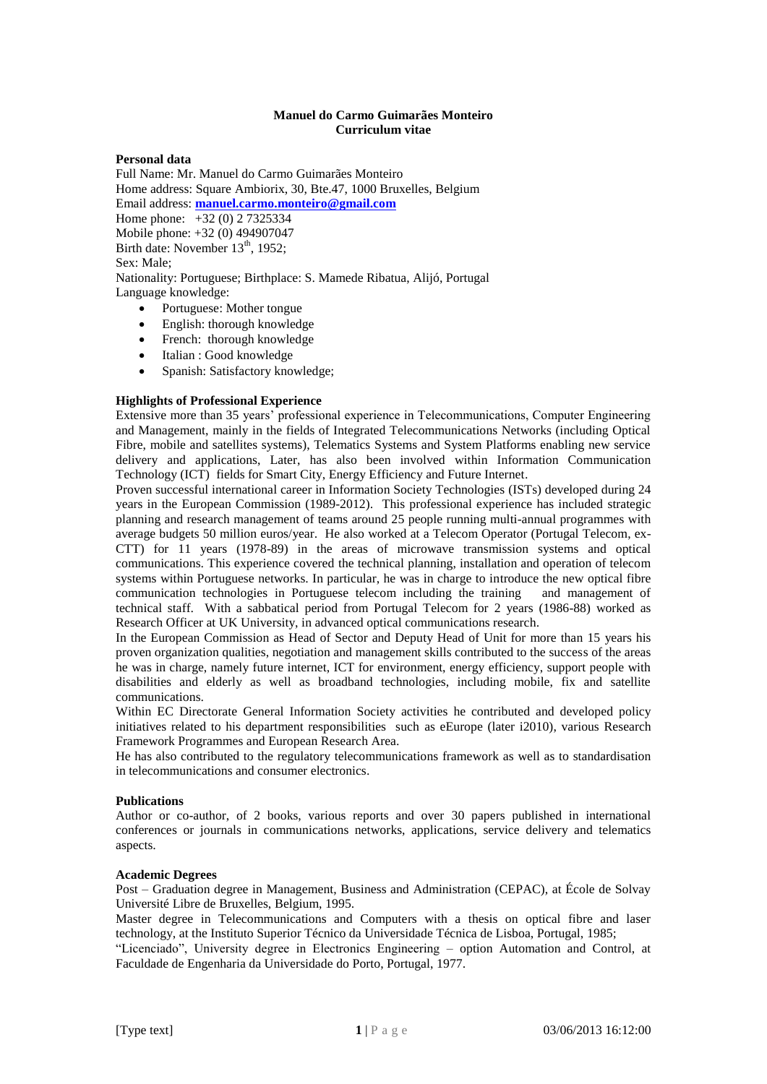## **Manuel do Carmo Guimarães Monteiro Curriculum vitae**

### **Personal data**

Full Name: Mr. Manuel do Carmo Guimarães Monteiro Home address: Square Ambiorix, 30, Bte.47, 1000 Bruxelles, Belgium Email address: **[manuel.carmo.monteiro@gmail.com](mailto:manuel.carmo.monteiro@gmail.com)** Home phone: +32 (0) 2 7325334 Mobile phone: +32 (0) 494907047 Birth date: November 13<sup>th</sup>, 1952; Sex: Male; Nationality: Portuguese; Birthplace: S. Mamede Ribatua, Alijó, Portugal Language knowledge:

- Portuguese: Mother tongue
- English: thorough knowledge
- French: thorough knowledge
- Italian : Good knowledge
- Spanish: Satisfactory knowledge;

### **Highlights of Professional Experience**

Extensive more than 35 years' professional experience in Telecommunications, Computer Engineering and Management, mainly in the fields of Integrated Telecommunications Networks (including Optical Fibre, mobile and satellites systems), Telematics Systems and System Platforms enabling new service delivery and applications, Later, has also been involved within Information Communication Technology (ICT) fields for Smart City, Energy Efficiency and Future Internet.

Proven successful international career in Information Society Technologies (ISTs) developed during 24 years in the European Commission (1989-2012). This professional experience has included strategic planning and research management of teams around 25 people running multi-annual programmes with average budgets 50 million euros/year. He also worked at a Telecom Operator (Portugal Telecom, ex-CTT) for 11 years (1978-89) in the areas of microwave transmission systems and optical communications. This experience covered the technical planning, installation and operation of telecom systems within Portuguese networks. In particular, he was in charge to introduce the new optical fibre communication technologies in Portuguese telecom including the training and management of technical staff. With a sabbatical period from Portugal Telecom for 2 years (1986-88) worked as Research Officer at UK University, in advanced optical communications research.

In the European Commission as Head of Sector and Deputy Head of Unit for more than 15 years his proven organization qualities, negotiation and management skills contributed to the success of the areas he was in charge, namely future internet, ICT for environment, energy efficiency, support people with disabilities and elderly as well as broadband technologies, including mobile, fix and satellite communications.

Within EC Directorate General Information Society activities he contributed and developed policy initiatives related to his department responsibilities such as eEurope (later i2010), various Research Framework Programmes and European Research Area.

He has also contributed to the regulatory telecommunications framework as well as to standardisation in telecommunications and consumer electronics.

#### **Publications**

Author or co-author, of 2 books, various reports and over 30 papers published in international conferences or journals in communications networks, applications, service delivery and telematics aspects.

## **Academic Degrees**

Post – Graduation degree in Management, Business and Administration (CEPAC), at École de Solvay Université Libre de Bruxelles, Belgium, 1995.

Master degree in Telecommunications and Computers with a thesis on optical fibre and laser technology, at the Instituto Superior Técnico da Universidade Técnica de Lisboa, Portugal, 1985;

"Licenciado", University degree in Electronics Engineering – option Automation and Control, at Faculdade de Engenharia da Universidade do Porto, Portugal, 1977.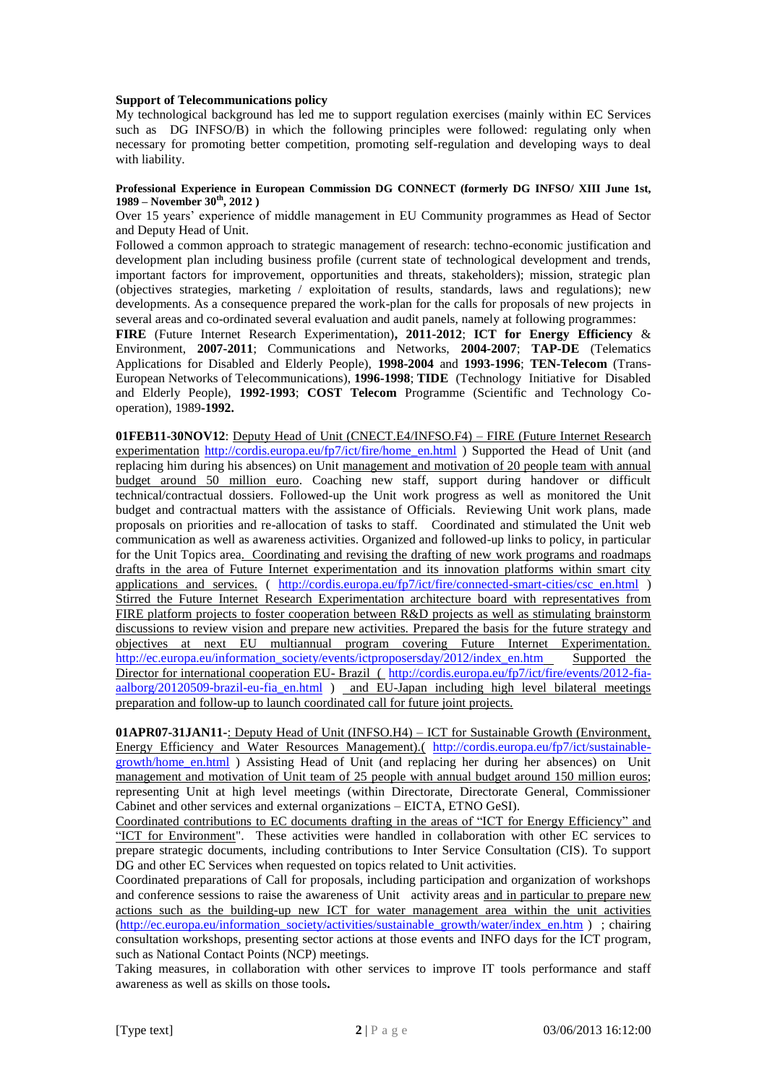### **Support of Telecommunications policy**

My technological background has led me to support regulation exercises (mainly within EC Services such as DG INFSO/B) in which the following principles were followed: regulating only when necessary for promoting better competition, promoting self-regulation and developing ways to deal with liability.

#### **Professional Experience in European Commission DG CONNECT (formerly DG INFSO/ XIII June 1st, 1989 – November 30th, 2012 )**

Over 15 years' experience of middle management in EU Community programmes as Head of Sector and Deputy Head of Unit.

Followed a common approach to strategic management of research: techno-economic justification and development plan including business profile (current state of technological development and trends, important factors for improvement, opportunities and threats, stakeholders); mission, strategic plan (objectives strategies, marketing / exploitation of results, standards, laws and regulations); new developments. As a consequence prepared the work-plan for the calls for proposals of new projects in several areas and co-ordinated several evaluation and audit panels, namely at following programmes:

**FIRE** (Future Internet Research Experimentation)**, 2011-2012**; **ICT for Energy Efficiency** & Environment, **2007-2011**; Communications and Networks, **2004-2007**; **TAP-DE** (Telematics Applications for Disabled and Elderly People), **1998-2004** and **1993-1996**; **TEN-Telecom** (Trans-European Networks of Telecommunications), **1996-1998**; **TIDE** (Technology Initiative for Disabled and Elderly People), **1992-1993**; **COST Telecom** Programme (Scientific and Technology Cooperation), 1989**-1992.**

**01FEB11-30NOV12**: Deputy Head of Unit (CNECT.E4/INFSO.F4) – FIRE (Future Internet Research experimentation [http://cordis.europa.eu/fp7/ict/fire/home\\_en.html](http://cordis.europa.eu/fp7/ict/fire/home_en.html) ) Supported the Head of Unit (and replacing him during his absences) on Unit management and motivation of 20 people team with annual budget around 50 million euro. Coaching new staff, support during handover or difficult technical/contractual dossiers. Followed-up the Unit work progress as well as monitored the Unit budget and contractual matters with the assistance of Officials. Reviewing Unit work plans, made proposals on priorities and re-allocation of tasks to staff. Coordinated and stimulated the Unit web communication as well as awareness activities. Organized and followed-up links to policy, in particular for the Unit Topics area. Coordinating and revising the drafting of new work programs and roadmaps drafts in the area of Future Internet experimentation and its innovation platforms within smart city applications and services. ( [http://cordis.europa.eu/fp7/ict/fire/connected-smart-cities/csc\\_en.html](http://cordis.europa.eu/fp7/ict/fire/connected-smart-cities/csc_en.html) ) Stirred the Future Internet Research Experimentation architecture board with representatives from FIRE platform projects to foster cooperation between R&D projects as well as stimulating brainstorm discussions to review vision and prepare new activities. Prepared the basis for the future strategy and objectives at next EU multiannual program covering Future Internet Experimentation. [http://ec.europa.eu/information\\_society/events/ictproposersday/2012/index\\_en.htm](http://ec.europa.eu/information_society/events/ictproposersday/2012/index_en.htm) Supported the Director for international cooperation EU- Brazil ([http://cordis.europa.eu/fp7/ict/fire/events/2012-fia](http://cordis.europa.eu/fp7/ict/fire/events/2012-fia-aalborg/20120509-brazil-eu-fia_en.html)[aalborg/20120509-brazil-eu-fia\\_en.html](http://cordis.europa.eu/fp7/ict/fire/events/2012-fia-aalborg/20120509-brazil-eu-fia_en.html) ) and EU-Japan including high level bilateral meetings preparation and follow-up to launch coordinated call for future joint projects.

**01APR07-31JAN11-**: Deputy Head of Unit (INFSO.H4) – ICT for Sustainable Growth (Environment, Energy Efficiency and Water Resources Management).( [http://cordis.europa.eu/fp7/ict/sustainable](http://cordis.europa.eu/fp7/ict/sustainable-growth/home_en.html)[growth/home\\_en.html](http://cordis.europa.eu/fp7/ict/sustainable-growth/home_en.html) ) Assisting Head of Unit (and replacing her during her absences) on Unit management and motivation of Unit team of 25 people with annual budget around 150 million euros; representing Unit at high level meetings (within Directorate, Directorate General, Commissioner Cabinet and other services and external organizations – EICTA, ETNO GeSI).

Coordinated contributions to EC documents drafting in the areas of "ICT for Energy Efficiency" and "ICT for Environment". These activities were handled in collaboration with other EC services to prepare strategic documents, including contributions to Inter Service Consultation (CIS). To support DG and other EC Services when requested on topics related to Unit activities.

Coordinated preparations of Call for proposals, including participation and organization of workshops and conference sessions to raise the awareness of Unit activity areas and in particular to prepare new actions such as the building-up new ICT for water management area within the unit activities [\(http://ec.europa.eu/information\\_society/activities/sustainable\\_growth/water/index\\_en.htm](http://ec.europa.eu/information_society/activities/sustainable_growth/water/index_en.htm) ) ; chairing consultation workshops, presenting sector actions at those events and INFO days for the ICT program, such as National Contact Points (NCP) meetings.

Taking measures, in collaboration with other services to improve IT tools performance and staff awareness as well as skills on those tools**.**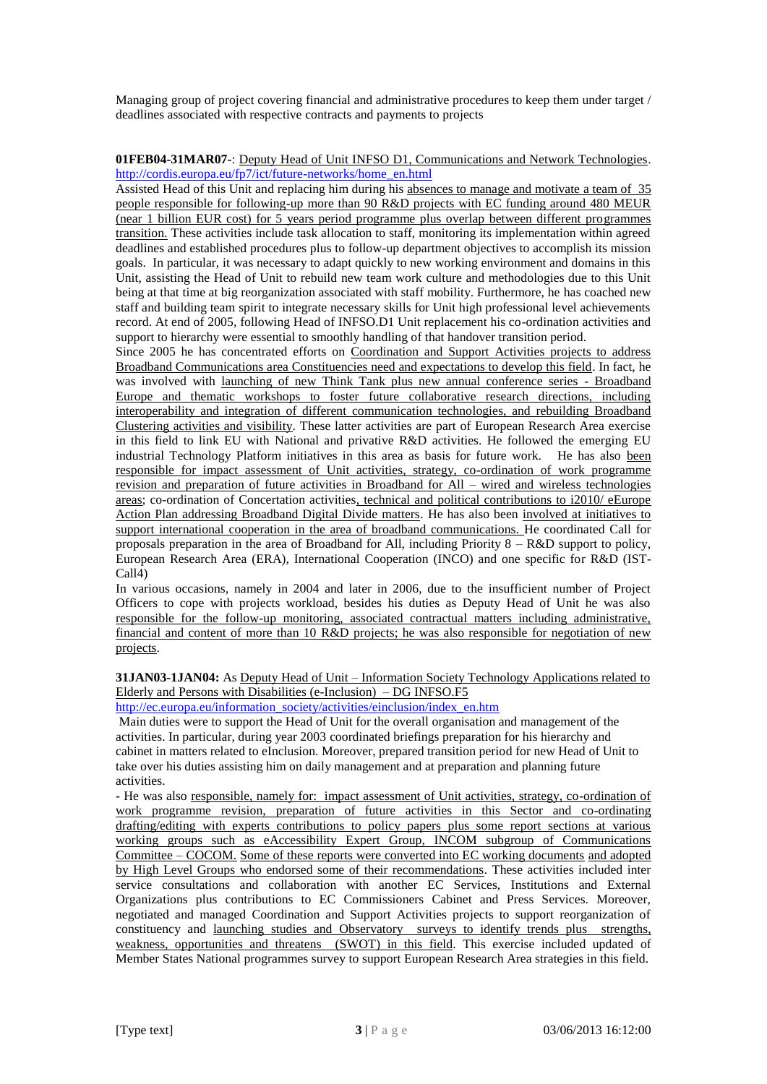Managing group of project covering financial and administrative procedures to keep them under target / deadlines associated with respective contracts and payments to projects

# **01FEB04-31MAR07-**: Deputy Head of Unit INFSO D1, Communications and Network Technologies. [http://cordis.europa.eu/fp7/ict/future-networks/home\\_en.html](http://cordis.europa.eu/fp7/ict/future-networks/home_en.html)

Assisted Head of this Unit and replacing him during his absences to manage and motivate a team of 35 people responsible for following-up more than 90 R&D projects with EC funding around 480 MEUR (near 1 billion EUR cost) for 5 years period programme plus overlap between different programmes transition. These activities include task allocation to staff, monitoring its implementation within agreed deadlines and established procedures plus to follow-up department objectives to accomplish its mission goals. In particular, it was necessary to adapt quickly to new working environment and domains in this Unit, assisting the Head of Unit to rebuild new team work culture and methodologies due to this Unit being at that time at big reorganization associated with staff mobility. Furthermore, he has coached new staff and building team spirit to integrate necessary skills for Unit high professional level achievements record. At end of 2005, following Head of INFSO.D1 Unit replacement his co-ordination activities and support to hierarchy were essential to smoothly handling of that handover transition period.

Since 2005 he has concentrated efforts on Coordination and Support Activities projects to address Broadband Communications area Constituencies need and expectations to develop this field. In fact, he was involved with launching of new Think Tank plus new annual conference series - Broadband Europe and thematic workshops to foster future collaborative research directions, including interoperability and integration of different communication technologies, and rebuilding Broadband Clustering activities and visibility. These latter activities are part of European Research Area exercise in this field to link EU with National and privative R&D activities. He followed the emerging EU industrial Technology Platform initiatives in this area as basis for future work. He has also been responsible for impact assessment of Unit activities, strategy, co-ordination of work programme revision and preparation of future activities in Broadband for All – wired and wireless technologies areas; co-ordination of Concertation activities, technical and political contributions to i2010/ eEurope Action Plan addressing Broadband Digital Divide matters. He has also been involved at initiatives to support international cooperation in the area of broadband communications. He coordinated Call for proposals preparation in the area of Broadband for All, including Priority 8 – R&D support to policy, European Research Area (ERA), International Cooperation (INCO) and one specific for R&D (IST-Call4)

In various occasions, namely in 2004 and later in 2006, due to the insufficient number of Project Officers to cope with projects workload, besides his duties as Deputy Head of Unit he was also responsible for the follow-up monitoring, associated contractual matters including administrative, financial and content of more than 10 R&D projects; he was also responsible for negotiation of new projects.

# **31JAN03-1JAN04:** As Deputy Head of Unit – Information Society Technology Applications related to Elderly and Persons with Disabilities (e-Inclusion) – DG INFSO.F5

[http://ec.europa.eu/information\\_society/activities/einclusion/index\\_en.htm](http://ec.europa.eu/information_society/activities/einclusion/index_en.htm)

Main duties were to support the Head of Unit for the overall organisation and management of the activities. In particular, during year 2003 coordinated briefings preparation for his hierarchy and cabinet in matters related to eInclusion. Moreover, prepared transition period for new Head of Unit to take over his duties assisting him on daily management and at preparation and planning future activities.

- He was also responsible, namely for: impact assessment of Unit activities, strategy, co-ordination of work programme revision, preparation of future activities in this Sector and co-ordinating drafting/editing with experts contributions to policy papers plus some report sections at various working groups such as eAccessibility Expert Group, INCOM subgroup of Communications Committee – COCOM. Some of these reports were converted into EC working documents and adopted by High Level Groups who endorsed some of their recommendations. These activities included inter service consultations and collaboration with another EC Services, Institutions and External Organizations plus contributions to EC Commissioners Cabinet and Press Services. Moreover, negotiated and managed Coordination and Support Activities projects to support reorganization of constituency and launching studies and Observatory surveys to identify trends plus strengths, weakness, opportunities and threatens (SWOT) in this field. This exercise included updated of Member States National programmes survey to support European Research Area strategies in this field.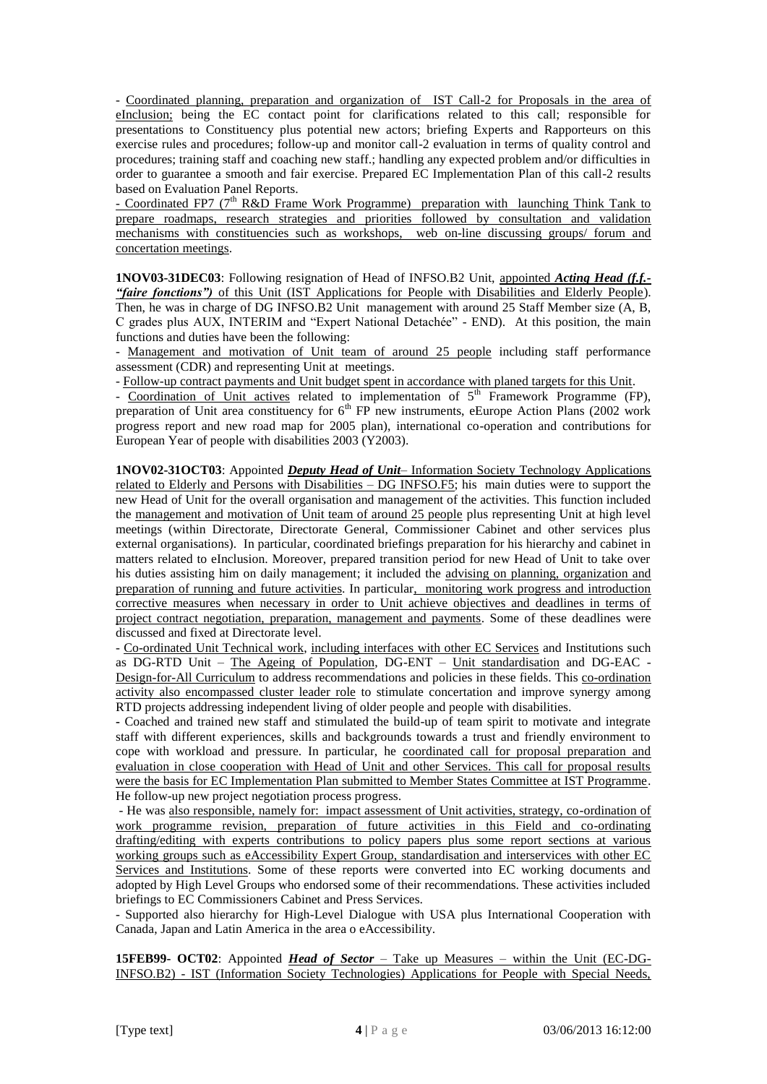- Coordinated planning, preparation and organization of IST Call-2 for Proposals in the area of eInclusion; being the EC contact point for clarifications related to this call; responsible for presentations to Constituency plus potential new actors; briefing Experts and Rapporteurs on this exercise rules and procedures; follow-up and monitor call-2 evaluation in terms of quality control and procedures; training staff and coaching new staff.; handling any expected problem and/or difficulties in order to guarantee a smooth and fair exercise. Prepared EC Implementation Plan of this call-2 results based on Evaluation Panel Reports.

- Coordinated FP7 (7<sup>th</sup> R&D Frame Work Programme) preparation with launching Think Tank to prepare roadmaps, research strategies and priorities followed by consultation and validation mechanisms with constituencies such as workshops, web on-line discussing groups/ forum and concertation meetings.

**1NOV03-31DEC03**: Following resignation of Head of INFSO.B2 Unit, appointed *Acting Head (f.f.- "faire fonctions")* of this Unit (IST Applications for People with Disabilities and Elderly People). Then, he was in charge of DG INFSO.B2 Unit management with around 25 Staff Member size (A, B, C grades plus AUX, INTERIM and "Expert National Detachée" - END). At this position, the main functions and duties have been the following:

- Management and motivation of Unit team of around 25 people including staff performance assessment (CDR) and representing Unit at meetings.

- Follow-up contract payments and Unit budget spent in accordance with planed targets for this Unit.

- Coordination of Unit actives related to implementation of 5<sup>th</sup> Framework Programme (FP), preparation of Unit area constituency for  $6<sup>th</sup>$  FP new instruments, eEurope Action Plans (2002 work progress report and new road map for 2005 plan), international co-operation and contributions for European Year of people with disabilities 2003 (Y2003).

**1NOV02-31OCT03**: Appointed *Deputy Head of Unit*– Information Society Technology Applications related to Elderly and Persons with Disabilities – DG INFSO.F5; his main duties were to support the new Head of Unit for the overall organisation and management of the activities. This function included the management and motivation of Unit team of around 25 people plus representing Unit at high level meetings (within Directorate, Directorate General, Commissioner Cabinet and other services plus external organisations). In particular, coordinated briefings preparation for his hierarchy and cabinet in matters related to eInclusion. Moreover, prepared transition period for new Head of Unit to take over his duties assisting him on daily management; it included the advising on planning, organization and preparation of running and future activities. In particular, monitoring work progress and introduction corrective measures when necessary in order to Unit achieve objectives and deadlines in terms of project contract negotiation, preparation, management and payments. Some of these deadlines were discussed and fixed at Directorate level.

- Co-ordinated Unit Technical work, including interfaces with other EC Services and Institutions such as DG-RTD Unit – The Ageing of Population, DG-ENT – Unit standardisation and DG-EAC - Design-for-All Curriculum to address recommendations and policies in these fields. This co-ordination activity also encompassed cluster leader role to stimulate concertation and improve synergy among RTD projects addressing independent living of older people and people with disabilities.

**-** Coached and trained new staff and stimulated the build-up of team spirit to motivate and integrate staff with different experiences, skills and backgrounds towards a trust and friendly environment to cope with workload and pressure. In particular, he coordinated call for proposal preparation and evaluation in close cooperation with Head of Unit and other Services. This call for proposal results were the basis for EC Implementation Plan submitted to Member States Committee at IST Programme. He follow-up new project negotiation process progress.

- He was also responsible, namely for: impact assessment of Unit activities, strategy, co-ordination of work programme revision, preparation of future activities in this Field and co-ordinating drafting/editing with experts contributions to policy papers plus some report sections at various working groups such as eAccessibility Expert Group, standardisation and interservices with other EC Services and Institutions. Some of these reports were converted into EC working documents and adopted by High Level Groups who endorsed some of their recommendations. These activities included briefings to EC Commissioners Cabinet and Press Services.

- Supported also hierarchy for High-Level Dialogue with USA plus International Cooperation with Canada, Japan and Latin America in the area o eAccessibility.

**15FEB99- OCT02**: Appointed *Head of Sector* – Take up Measures – within the Unit (EC-DG-INFSO.B2) - IST (Information Society Technologies) Applications for People with Special Needs,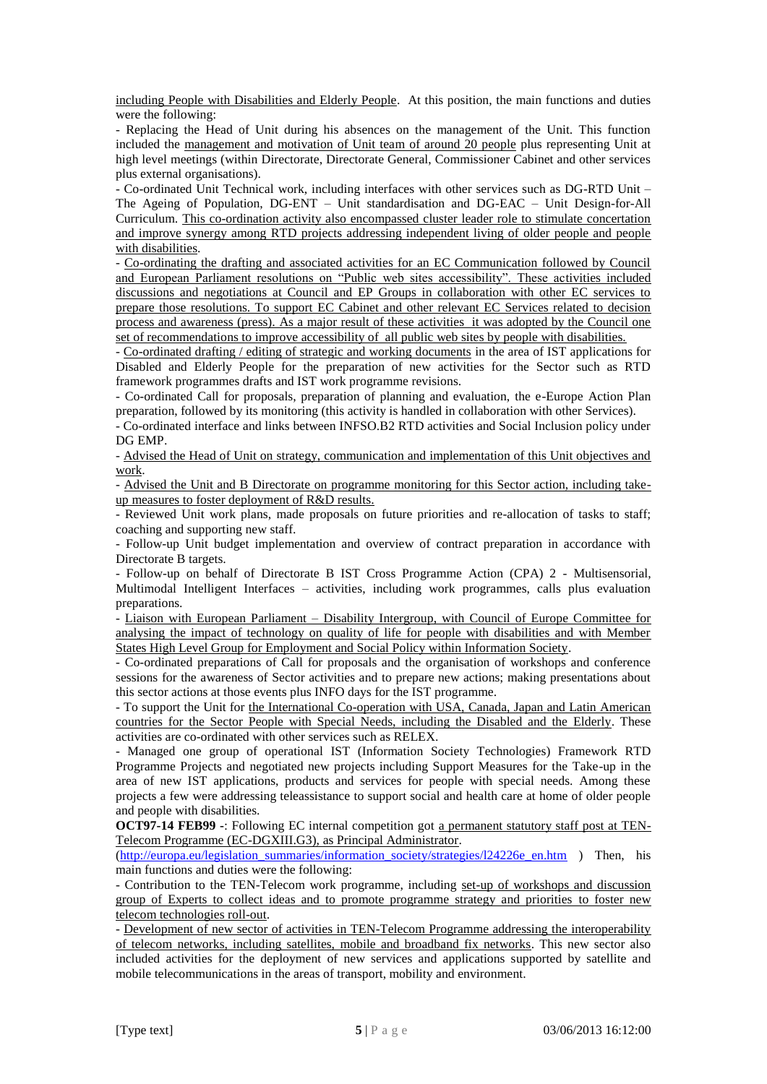including People with Disabilities and Elderly People. At this position, the main functions and duties were the following:

- Replacing the Head of Unit during his absences on the management of the Unit. This function included the management and motivation of Unit team of around 20 people plus representing Unit at high level meetings (within Directorate, Directorate General, Commissioner Cabinet and other services plus external organisations).

- Co-ordinated Unit Technical work, including interfaces with other services such as DG-RTD Unit – The Ageing of Population, DG-ENT – Unit standardisation and DG-EAC – Unit Design-for-All Curriculum. This co-ordination activity also encompassed cluster leader role to stimulate concertation and improve synergy among RTD projects addressing independent living of older people and people with disabilities.

- Co-ordinating the drafting and associated activities for an EC Communication followed by Council and European Parliament resolutions on "Public web sites accessibility". These activities included discussions and negotiations at Council and EP Groups in collaboration with other EC services to prepare those resolutions. To support EC Cabinet and other relevant EC Services related to decision process and awareness (press). As a major result of these activities it was adopted by the Council one set of recommendations to improve accessibility of all public web sites by people with disabilities.

- Co-ordinated drafting / editing of strategic and working documents in the area of IST applications for Disabled and Elderly People for the preparation of new activities for the Sector such as RTD framework programmes drafts and IST work programme revisions.

- Co-ordinated Call for proposals, preparation of planning and evaluation, the e-Europe Action Plan preparation, followed by its monitoring (this activity is handled in collaboration with other Services).

- Co-ordinated interface and links between INFSO.B2 RTD activities and Social Inclusion policy under DG EMP.

- Advised the Head of Unit on strategy, communication and implementation of this Unit objectives and work.

- Advised the Unit and B Directorate on programme monitoring for this Sector action, including takeup measures to foster deployment of R&D results.

- Reviewed Unit work plans, made proposals on future priorities and re-allocation of tasks to staff; coaching and supporting new staff.

- Follow-up Unit budget implementation and overview of contract preparation in accordance with Directorate B targets.

- Follow-up on behalf of Directorate B IST Cross Programme Action (CPA) 2 - Multisensorial, Multimodal Intelligent Interfaces – activities, including work programmes, calls plus evaluation preparations.

- Liaison with European Parliament – Disability Intergroup, with Council of Europe Committee for analysing the impact of technology on quality of life for people with disabilities and with Member States High Level Group for Employment and Social Policy within Information Society.

- Co-ordinated preparations of Call for proposals and the organisation of workshops and conference sessions for the awareness of Sector activities and to prepare new actions; making presentations about this sector actions at those events plus INFO days for the IST programme.

- To support the Unit for the International Co-operation with USA, Canada, Japan and Latin American countries for the Sector People with Special Needs, including the Disabled and the Elderly. These activities are co-ordinated with other services such as RELEX.

- Managed one group of operational IST (Information Society Technologies) Framework RTD Programme Projects and negotiated new projects including Support Measures for the Take-up in the area of new IST applications, products and services for people with special needs. Among these projects a few were addressing teleassistance to support social and health care at home of older people and people with disabilities.

**OCT97-14 FEB99 -**: Following EC internal competition got a permanent statutory staff post at TEN-Telecom Programme (EC-DGXIII.G3), as Principal Administrator.

[\(http://europa.eu/legislation\\_summaries/information\\_society/strategies/l24226e\\_en.htm](http://europa.eu/legislation_summaries/information_society/strategies/l24226e_en.htm) ) Then, his main functions and duties were the following:

- Contribution to the TEN-Telecom work programme, including set-up of workshops and discussion group of Experts to collect ideas and to promote programme strategy and priorities to foster new telecom technologies roll-out.

- Development of new sector of activities in TEN-Telecom Programme addressing the interoperability of telecom networks, including satellites, mobile and broadband fix networks. This new sector also included activities for the deployment of new services and applications supported by satellite and mobile telecommunications in the areas of transport, mobility and environment.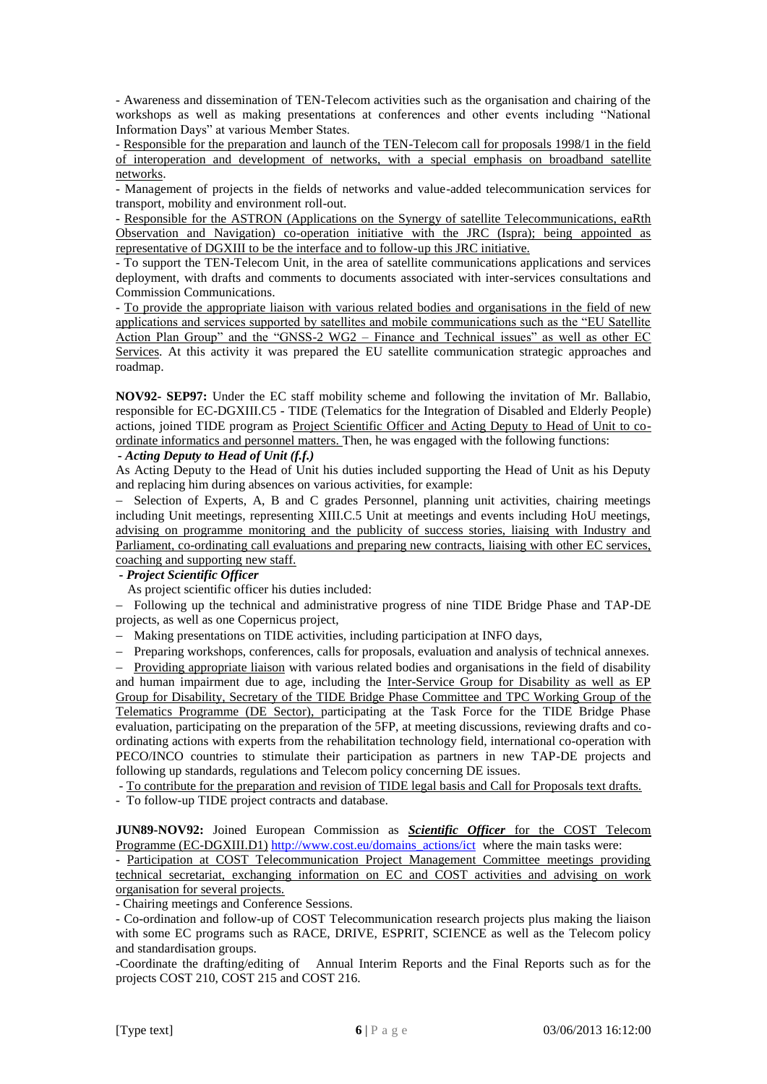- Awareness and dissemination of TEN-Telecom activities such as the organisation and chairing of the workshops as well as making presentations at conferences and other events including "National Information Days" at various Member States.

- Responsible for the preparation and launch of the TEN-Telecom call for proposals 1998/1 in the field of interoperation and development of networks, with a special emphasis on broadband satellite networks.

- Management of projects in the fields of networks and value-added telecommunication services for transport, mobility and environment roll-out.

- Responsible for the ASTRON (Applications on the Synergy of satellite Telecommunications, eaRth Observation and Navigation) co-operation initiative with the JRC (Ispra); being appointed as representative of DGXIII to be the interface and to follow-up this JRC initiative.

- To support the TEN-Telecom Unit, in the area of satellite communications applications and services deployment, with drafts and comments to documents associated with inter-services consultations and Commission Communications.

- To provide the appropriate liaison with various related bodies and organisations in the field of new applications and services supported by satellites and mobile communications such as the "EU Satellite Action Plan Group" and the "GNSS-2 WG2 – Finance and Technical issues" as well as other EC Services. At this activity it was prepared the EU satellite communication strategic approaches and roadmap.

**NOV92- SEP97:** Under the EC staff mobility scheme and following the invitation of Mr. Ballabio, responsible for EC-DGXIII.C5 - TIDE (Telematics for the Integration of Disabled and Elderly People) actions, joined TIDE program as Project Scientific Officer and Acting Deputy to Head of Unit to coordinate informatics and personnel matters. Then, he was engaged with the following functions:

# **-** *Acting Deputy to Head of Unit (f.f.)*

As Acting Deputy to the Head of Unit his duties included supporting the Head of Unit as his Deputy and replacing him during absences on various activities, for example:

- Selection of Experts, A, B and C grades Personnel, planning unit activities, chairing meetings including Unit meetings, representing XIII.C.5 Unit at meetings and events including HoU meetings, advising on programme monitoring and the publicity of success stories, liaising with Industry and Parliament, co-ordinating call evaluations and preparing new contracts, liaising with other EC services, coaching and supporting new staff.

# **-** *Project Scientific Officer*

As project scientific officer his duties included:

- Following up the technical and administrative progress of nine TIDE Bridge Phase and TAP-DE projects, as well as one Copernicus project,

- Making presentations on TIDE activities, including participation at INFO days,

- Preparing workshops, conferences, calls for proposals, evaluation and analysis of technical annexes.

- Providing appropriate liaison with various related bodies and organisations in the field of disability and human impairment due to age, including the Inter-Service Group for Disability as well as EP Group for Disability, Secretary of the TIDE Bridge Phase Committee and TPC Working Group of the Telematics Programme (DE Sector), participating at the Task Force for the TIDE Bridge Phase evaluation, participating on the preparation of the 5FP, at meeting discussions, reviewing drafts and coordinating actions with experts from the rehabilitation technology field, international co-operation with PECO/INCO countries to stimulate their participation as partners in new TAP-DE projects and following up standards, regulations and Telecom policy concerning DE issues.

- To contribute for the preparation and revision of TIDE legal basis and Call for Proposals text drafts.

- To follow-up TIDE project contracts and database.

**JUN89-NOV92:** Joined European Commission as *Scientific Officer* for the COST Telecom Programme (EC-DGXIII.D1) [http://www.cost.eu/domains\\_actions/ict](http://www.cost.eu/domains_actions/ict) where the main tasks were:

- Participation at COST Telecommunication Project Management Committee meetings providing technical secretariat, exchanging information on EC and COST activities and advising on work organisation for several projects.

- Chairing meetings and Conference Sessions.

- Co-ordination and follow-up of COST Telecommunication research projects plus making the liaison with some EC programs such as RACE, DRIVE, ESPRIT, SCIENCE as well as the Telecom policy and standardisation groups.

-Coordinate the drafting/editing of Annual Interim Reports and the Final Reports such as for the projects COST 210, COST 215 and COST 216.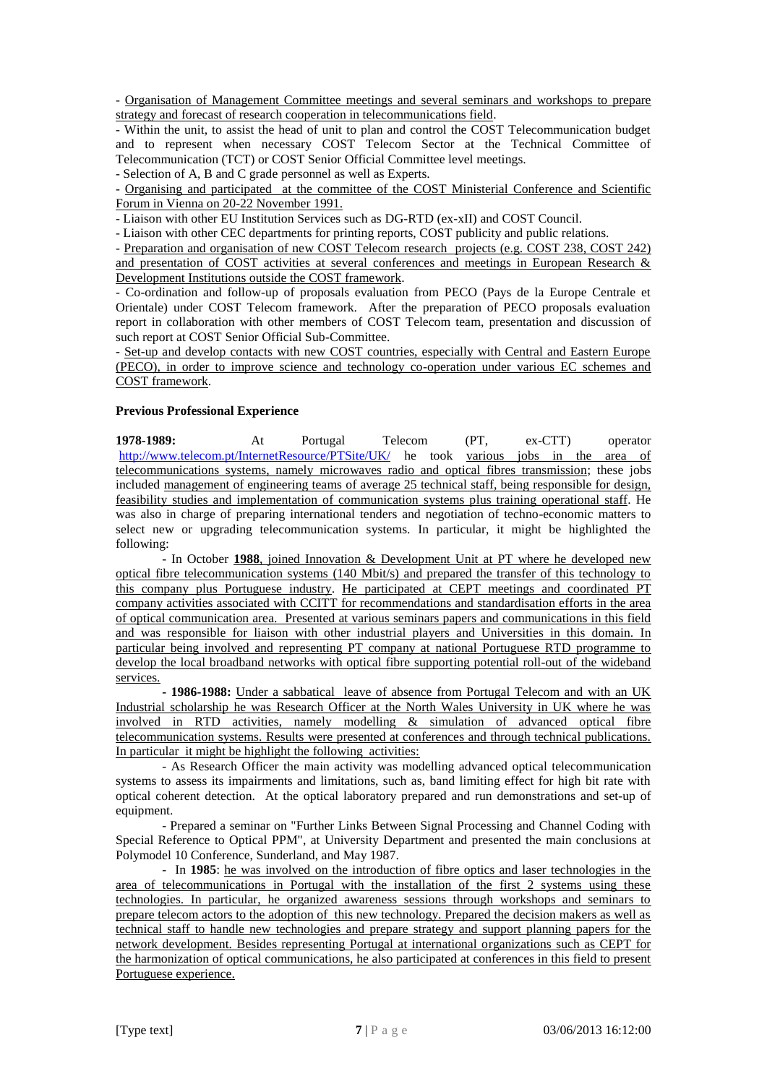- Organisation of Management Committee meetings and several seminars and workshops to prepare strategy and forecast of research cooperation in telecommunications field.

- Within the unit, to assist the head of unit to plan and control the COST Telecommunication budget and to represent when necessary COST Telecom Sector at the Technical Committee of Telecommunication (TCT) or COST Senior Official Committee level meetings.

- Selection of A, B and C grade personnel as well as Experts.

- Organising and participated at the committee of the COST Ministerial Conference and Scientific Forum in Vienna on 20-22 November 1991.

- Liaison with other EU Institution Services such as DG-RTD (ex-xII) and COST Council.

- Liaison with other CEC departments for printing reports, COST publicity and public relations.

- Preparation and organisation of new COST Telecom research projects (e.g. COST 238, COST 242) and presentation of COST activities at several conferences and meetings in European Research & Development Institutions outside the COST framework.

- Co-ordination and follow-up of proposals evaluation from PECO (Pays de la Europe Centrale et Orientale) under COST Telecom framework. After the preparation of PECO proposals evaluation report in collaboration with other members of COST Telecom team, presentation and discussion of such report at COST Senior Official Sub-Committee.

- Set-up and develop contacts with new COST countries, especially with Central and Eastern Europe (PECO), in order to improve science and technology co-operation under various EC schemes and COST framework.

# **Previous Professional Experience**

**1978-1989:** At Portugal Telecom (PT, ex-CTT) operator <http://www.telecom.pt/InternetResource/PTSite/UK/> he took various jobs in the area of telecommunications systems, namely microwaves radio and optical fibres transmission; these jobs included management of engineering teams of average 25 technical staff, being responsible for design, feasibility studies and implementation of communication systems plus training operational staff. He was also in charge of preparing international tenders and negotiation of techno-economic matters to select new or upgrading telecommunication systems. In particular, it might be highlighted the following:

- In October **1988**, joined Innovation & Development Unit at PT where he developed new optical fibre telecommunication systems (140 Mbit/s) and prepared the transfer of this technology to this company plus Portuguese industry. He participated at CEPT meetings and coordinated PT company activities associated with CCITT for recommendations and standardisation efforts in the area of optical communication area. Presented at various seminars papers and communications in this field and was responsible for liaison with other industrial players and Universities in this domain. In particular being involved and representing PT company at national Portuguese RTD programme to develop the local broadband networks with optical fibre supporting potential roll-out of the wideband services.

**- 1986-1988:** Under a sabbatical leave of absence from Portugal Telecom and with an UK Industrial scholarship he was Research Officer at the North Wales University in UK where he was involved in RTD activities, namely modelling & simulation of advanced optical fibre telecommunication systems. Results were presented at conferences and through technical publications. In particular it might be highlight the following activities:

- As Research Officer the main activity was modelling advanced optical telecommunication systems to assess its impairments and limitations, such as, band limiting effect for high bit rate with optical coherent detection. At the optical laboratory prepared and run demonstrations and set-up of equipment.

- Prepared a seminar on "Further Links Between Signal Processing and Channel Coding with Special Reference to Optical PPM", at University Department and presented the main conclusions at Polymodel 10 Conference, Sunderland, and May 1987.

- In **1985**: he was involved on the introduction of fibre optics and laser technologies in the area of telecommunications in Portugal with the installation of the first 2 systems using these technologies. In particular, he organized awareness sessions through workshops and seminars to prepare telecom actors to the adoption of this new technology. Prepared the decision makers as well as technical staff to handle new technologies and prepare strategy and support planning papers for the network development. Besides representing Portugal at international organizations such as CEPT for the harmonization of optical communications, he also participated at conferences in this field to present Portuguese experience.